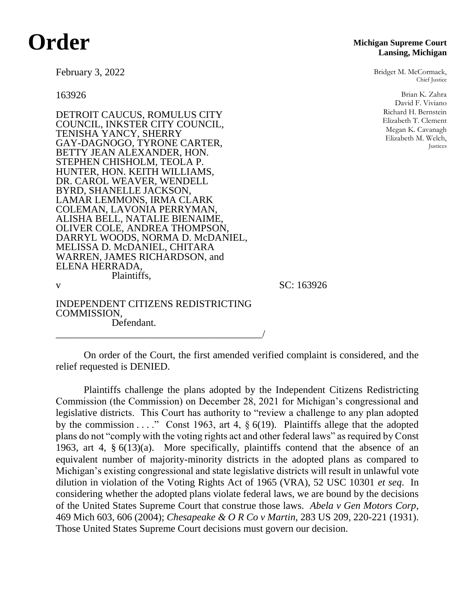## **Order**

**Michigan Supreme Court Lansing, Michigan**

> Bridget M. McCormack, Chief Justice

> > Brian K. Zahra David F. Viviano Richard H. Bernstein Elizabeth T. Clement Megan K. Cavanagh Elizabeth M. Welch, Justices

February 3, 2022

163926

DETROIT CAUCUS, ROMULUS CITY COUNCIL, INKSTER CITY COUNCIL, TENISHA YANCY, SHERRY GAY-DAGNOGO, TYRONE CARTER, BETTY JEAN ALEXANDER, HON. STEPHEN CHISHOLM, TEOLA P. HUNTER, HON. KEITH WILLIAMS, DR. CAROL WEAVER, WENDELL BYRD, SHANELLE JACKSON, LAMAR LEMMONS, IRMA CLARK COLEMAN, LAVONIA PERRYMAN, ALISHA BELL, NATALIE BIENAIME, OLIVER COLE, ANDREA THOMPSON, DARRYL WOODS, NORMA D. McDANIEL, MELISSA D. McDANIEL, CHITARA WARREN, JAMES RICHARDSON, and ELENA HERRADA, Plaintiffs, v SC: 163926

INDEPENDENT CITIZENS REDISTRICTING COMMISSION, Defendant.

\_\_\_\_\_\_\_\_\_\_\_\_\_\_\_\_\_\_\_\_\_\_\_\_\_\_\_\_\_\_\_\_\_\_\_\_\_\_\_\_\_/

On order of the Court, the first amended verified complaint is considered, and the relief requested is DENIED.

Plaintiffs challenge the plans adopted by the Independent Citizens Redistricting Commission (the Commission) on December 28, 2021 for Michigan's congressional and legislative districts. This Court has authority to "review a challenge to any plan adopted by the commission  $\dots$ ." Const 1963, art 4,  $\S$  6(19). Plaintiffs allege that the adopted plans do not "comply with the voting rights act and other federal laws" as required by Const 1963, art 4, § 6(13)(a). More specifically, plaintiffs contend that the absence of an equivalent number of majority-minority districts in the adopted plans as compared to Michigan's existing congressional and state legislative districts will result in unlawful vote dilution in violation of the Voting Rights Act of 1965 (VRA), 52 USC 10301 *et seq*. In considering whether the adopted plans violate federal laws, we are bound by the decisions of the United States Supreme Court that construe those laws. *Abela v Gen Motors Corp*, 469 Mich 603, 606 (2004); *Chesapeake & O R Co v Martin*, 283 US 209, 220-221 (1931). Those United States Supreme Court decisions must govern our decision.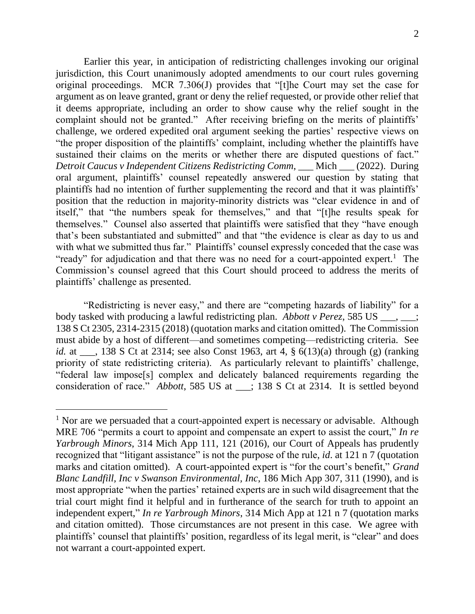Earlier this year, in anticipation of redistricting challenges invoking our original jurisdiction, this Court unanimously adopted amendments to our court rules governing original proceedings. MCR 7.306(J) provides that "[t]he Court may set the case for argument as on leave granted, grant or deny the relief requested, or provide other relief that it deems appropriate, including an order to show cause why the relief sought in the complaint should not be granted." After receiving briefing on the merits of plaintiffs' challenge, we ordered expedited oral argument seeking the parties' respective views on "the proper disposition of the plaintiffs' complaint, including whether the plaintiffs have sustained their claims on the merits or whether there are disputed questions of fact." *Detroit Caucus v Independent Citizens Redistricting Comm*, \_\_\_ Mich \_\_\_ (2022). During oral argument, plaintiffs' counsel repeatedly answered our question by stating that plaintiffs had no intention of further supplementing the record and that it was plaintiffs' position that the reduction in majority-minority districts was "clear evidence in and of itself," that "the numbers speak for themselves," and that "[t]he results speak for themselves." Counsel also asserted that plaintiffs were satisfied that they "have enough that's been substantiated and submitted" and that "the evidence is clear as day to us and with what we submitted thus far." Plaintiffs' counsel expressly conceded that the case was "ready" for adjudication and that there was no need for a court-appointed expert.<sup>1</sup> The Commission's counsel agreed that this Court should proceed to address the merits of plaintiffs' challenge as presented.

"Redistricting is never easy," and there are "competing hazards of liability" for a body tasked with producing a lawful redistricting plan. *Abbott v Perez*, 585 US \_\_\_, \_\_\_; 138 S Ct 2305, 2314-2315 (2018) (quotation marks and citation omitted). The Commission must abide by a host of different—and sometimes competing—redistricting criteria. See *id.* at \_\_\_, 138 S Ct at 2314; see also Const 1963, art 4, § 6(13)(a) through (g) (ranking priority of state redistricting criteria). As particularly relevant to plaintiffs' challenge, "federal law impose[s] complex and delicately balanced requirements regarding the consideration of race." *Abbott*, 585 US at \_\_\_; 138 S Ct at 2314. It is settled beyond

 $<sup>1</sup>$  Nor are we persuaded that a court-appointed expert is necessary or advisable. Although</sup> MRE 706 "permits a court to appoint and compensate an expert to assist the court," *In re Yarbrough Minors*, 314 Mich App 111, 121 (2016), our Court of Appeals has prudently recognized that "litigant assistance" is not the purpose of the rule, *id*. at 121 n 7 (quotation marks and citation omitted). A court-appointed expert is "for the court's benefit," *Grand Blanc Landfill, Inc v Swanson Environmental, Inc*, 186 Mich App 307, 311 (1990), and is most appropriate "when the parties' retained experts are in such wild disagreement that the trial court might find it helpful and in furtherance of the search for truth to appoint an independent expert," *In re Yarbrough Minors*, 314 Mich App at 121 n 7 (quotation marks and citation omitted). Those circumstances are not present in this case. We agree with plaintiffs' counsel that plaintiffs' position, regardless of its legal merit, is "clear" and does not warrant a court-appointed expert.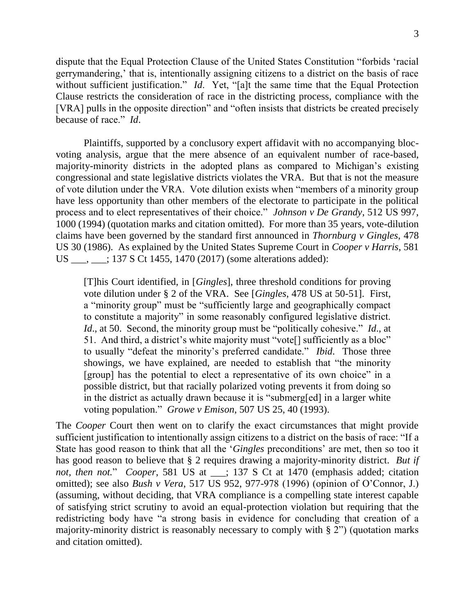dispute that the Equal Protection Clause of the United States Constitution "forbids 'racial gerrymandering,' that is, intentionally assigning citizens to a district on the basis of race without sufficient justification." *Id*. Yet, "[a]t the same time that the Equal Protection Clause restricts the consideration of race in the districting process, compliance with the [VRA] pulls in the opposite direction" and "often insists that districts be created precisely because of race." *Id*.

Plaintiffs, supported by a conclusory expert affidavit with no accompanying blocvoting analysis, argue that the mere absence of an equivalent number of race-based, majority-minority districts in the adopted plans as compared to Michigan's existing congressional and state legislative districts violates the VRA. But that is not the measure of vote dilution under the VRA. Vote dilution exists when "members of a minority group have less opportunity than other members of the electorate to participate in the political process and to elect representatives of their choice." *Johnson v De Grandy*, 512 US 997, 1000 (1994) (quotation marks and citation omitted). For more than 35 years, vote-dilution claims have been governed by the standard first announced in *Thornburg v Gingles*, 478 US 30 (1986). As explained by the United States Supreme Court in *Cooper v Harris*, 581 US \_\_\_, \_\_\_; 137 S Ct 1455, 1470 (2017) (some alterations added):

[T]his Court identified, in [*Gingles*], three threshold conditions for proving vote dilution under § 2 of the VRA. See [*Gingles*, 478 US at 50-51]. First, a "minority group" must be "sufficiently large and geographically compact to constitute a majority" in some reasonably configured legislative district. *Id*., at 50. Second, the minority group must be "politically cohesive." *Id*., at 51. And third, a district's white majority must "vote[] sufficiently as a bloc" to usually "defeat the minority's preferred candidate." *Ibid*. Those three showings, we have explained, are needed to establish that "the minority [group] has the potential to elect a representative of its own choice" in a possible district, but that racially polarized voting prevents it from doing so in the district as actually drawn because it is "submerg[ed] in a larger white voting population." *Growe v Emison*, 507 US 25, 40 (1993).

The *Cooper* Court then went on to clarify the exact circumstances that might provide sufficient justification to intentionally assign citizens to a district on the basis of race: "If a State has good reason to think that all the '*Gingles* preconditions' are met, then so too it has good reason to believe that § 2 requires drawing a majority-minority district. *But if not, then not.*" *Cooper*, 581 US at \_\_\_; 137 S Ct at 1470 (emphasis added; citation omitted); see also *Bush v Vera*, 517 US 952, 977-978 (1996) (opinion of O'Connor, J.) (assuming, without deciding, that VRA compliance is a compelling state interest capable of satisfying strict scrutiny to avoid an equal-protection violation but requiring that the redistricting body have "a strong basis in evidence for concluding that creation of a majority-minority district is reasonably necessary to comply with § 2") (quotation marks and citation omitted).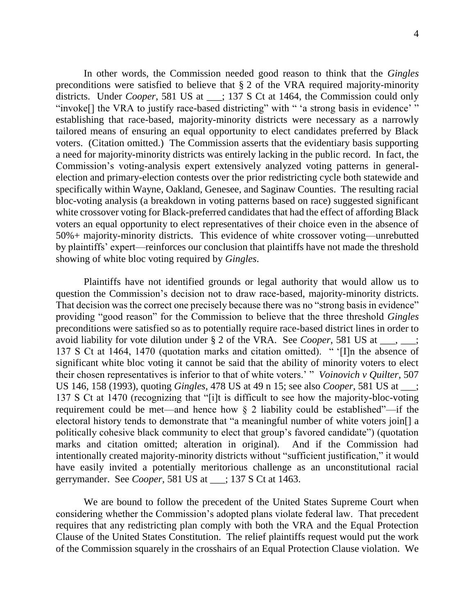In other words, the Commission needed good reason to think that the *Gingles* preconditions were satisfied to believe that § 2 of the VRA required majority-minority districts. Under *Cooper*, 581 US at \_\_; 137 S Ct at 1464, the Commission could only "invoke<sup>[]</sup> the VRA to justify race-based districting" with " 'a strong basis in evidence' " establishing that race-based, majority-minority districts were necessary as a narrowly tailored means of ensuring an equal opportunity to elect candidates preferred by Black voters. (Citation omitted.) The Commission asserts that the evidentiary basis supporting a need for majority-minority districts was entirely lacking in the public record. In fact, the Commission's voting-analysis expert extensively analyzed voting patterns in generalelection and primary-election contests over the prior redistricting cycle both statewide and specifically within Wayne, Oakland, Genesee, and Saginaw Counties. The resulting racial bloc-voting analysis (a breakdown in voting patterns based on race) suggested significant white crossover voting for Black-preferred candidates that had the effect of affording Black voters an equal opportunity to elect representatives of their choice even in the absence of 50%+ majority-minority districts. This evidence of white crossover voting—unrebutted by plaintiffs' expert—reinforces our conclusion that plaintiffs have not made the threshold showing of white bloc voting required by *Gingles*.

Plaintiffs have not identified grounds or legal authority that would allow us to question the Commission's decision not to draw race-based, majority-minority districts. That decision was the correct one precisely because there was no "strong basis in evidence" providing "good reason" for the Commission to believe that the three threshold *Gingles* preconditions were satisfied so as to potentially require race-based district lines in order to avoid liability for vote dilution under § 2 of the VRA. See *Cooper*, 581 US at \_\_\_, \_\_\_; 137 S Ct at 1464, 1470 (quotation marks and citation omitted). " '[I]n the absence of significant white bloc voting it cannot be said that the ability of minority voters to elect their chosen representatives is inferior to that of white voters.' " *Voinovich v Quilter*, 507 US 146, 158 (1993), quoting *Gingles*, 478 US at 49 n 15; see also *Cooper*, 581 US at \_\_\_; 137 S Ct at 1470 (recognizing that "[i]t is difficult to see how the majority-bloc-voting requirement could be met—and hence how § 2 liability could be established"—if the electoral history tends to demonstrate that "a meaningful number of white voters join[] a politically cohesive black community to elect that group's favored candidate") (quotation marks and citation omitted; alteration in original). And if the Commission had intentionally created majority-minority districts without "sufficient justification," it would have easily invited a potentially meritorious challenge as an unconstitutional racial gerrymander. See *Cooper*, 581 US at \_\_\_; 137 S Ct at 1463.

We are bound to follow the precedent of the United States Supreme Court when considering whether the Commission's adopted plans violate federal law. That precedent requires that any redistricting plan comply with both the VRA and the Equal Protection Clause of the United States Constitution. The relief plaintiffs request would put the work of the Commission squarely in the crosshairs of an Equal Protection Clause violation. We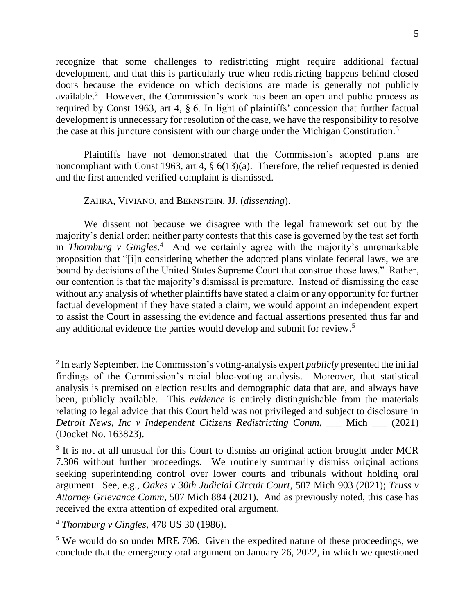recognize that some challenges to redistricting might require additional factual development, and that this is particularly true when redistricting happens behind closed doors because the evidence on which decisions are made is generally not publicly available.<sup>2</sup> However, the Commission's work has been an open and public process as required by Const 1963, art 4, § 6. In light of plaintiffs' concession that further factual development is unnecessary for resolution of the case, we have the responsibility to resolve the case at this juncture consistent with our charge under the Michigan Constitution.<sup>3</sup>

Plaintiffs have not demonstrated that the Commission's adopted plans are noncompliant with Const 1963, art 4, § 6(13)(a). Therefore, the relief requested is denied and the first amended verified complaint is dismissed.

## ZAHRA, VIVIANO, and BERNSTEIN, JJ. (*dissenting*).

We dissent not because we disagree with the legal framework set out by the majority's denial order; neither party contests that this case is governed by the test set forth in *Thornburg v Gingles*. 4 And we certainly agree with the majority's unremarkable proposition that "[i]n considering whether the adopted plans violate federal laws, we are bound by decisions of the United States Supreme Court that construe those laws." Rather, our contention is that the majority's dismissal is premature. Instead of dismissing the case without any analysis of whether plaintiffs have stated a claim or any opportunity for further factual development if they have stated a claim, we would appoint an independent expert to assist the Court in assessing the evidence and factual assertions presented thus far and any additional evidence the parties would develop and submit for review.<sup>5</sup>

<sup>2</sup> In early September, the Commission's voting-analysis expert *publicly* presented the initial findings of the Commission's racial bloc-voting analysis. Moreover, that statistical analysis is premised on election results and demographic data that are, and always have been, publicly available. This *evidence* is entirely distinguishable from the materials relating to legal advice that this Court held was not privileged and subject to disclosure in *Detroit News, Inc v Independent Citizens Redistricting Comm*, \_\_\_ Mich \_\_\_ (2021) (Docket No. 163823).

<sup>&</sup>lt;sup>3</sup> It is not at all unusual for this Court to dismiss an original action brought under MCR 7.306 without further proceedings. We routinely summarily dismiss original actions seeking superintending control over lower courts and tribunals without holding oral argument. See, e.g., *Oakes v 30th Judicial Circuit Court*, 507 Mich 903 (2021); *Truss v Attorney Grievance Comm*, 507 Mich 884 (2021). And as previously noted, this case has received the extra attention of expedited oral argument.

<sup>4</sup> *Thornburg v Gingles*, 478 US 30 (1986).

<sup>&</sup>lt;sup>5</sup> We would do so under MRE 706. Given the expedited nature of these proceedings, we conclude that the emergency oral argument on January 26, 2022, in which we questioned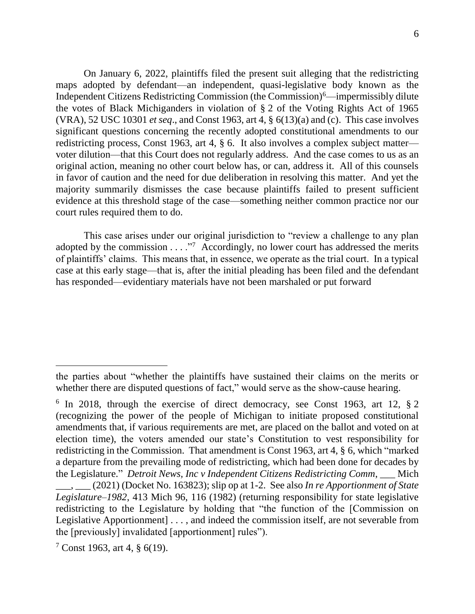On January 6, 2022, plaintiffs filed the present suit alleging that the redistricting maps adopted by defendant—an independent, quasi-legislative body known as the Independent Citizens Redistricting Commission (the Commission) $^6$ —impermissibly dilute the votes of Black Michiganders in violation of § 2 of the Voting Rights Act of 1965 (VRA), 52 USC 10301 *et seq*., and Const 1963, art 4, § 6(13)(a) and (c). This case involves significant questions concerning the recently adopted constitutional amendments to our redistricting process, Const 1963, art 4, § 6. It also involves a complex subject matter voter dilution—that this Court does not regularly address. And the case comes to us as an original action, meaning no other court below has, or can, address it. All of this counsels in favor of caution and the need for due deliberation in resolving this matter. And yet the majority summarily dismisses the case because plaintiffs failed to present sufficient evidence at this threshold stage of the case—something neither common practice nor our court rules required them to do.

This case arises under our original jurisdiction to "review a challenge to any plan adopted by the commission  $\dots$ ."<sup>7</sup> Accordingly, no lower court has addressed the merits of plaintiffs' claims. This means that, in essence, we operate as the trial court. In a typical case at this early stage—that is, after the initial pleading has been filed and the defendant has responded—evidentiary materials have not been marshaled or put forward

the parties about "whether the plaintiffs have sustained their claims on the merits or whether there are disputed questions of fact," would serve as the show-cause hearing.

<sup>&</sup>lt;sup>6</sup> In 2018, through the exercise of direct democracy, see Const 1963, art 12, § 2 (recognizing the power of the people of Michigan to initiate proposed constitutional amendments that, if various requirements are met, are placed on the ballot and voted on at election time), the voters amended our state's Constitution to vest responsibility for redistricting in the Commission. That amendment is Const 1963, art 4, § 6, which "marked a departure from the prevailing mode of redistricting, which had been done for decades by the Legislature." *Detroit News, Inc v Independent Citizens Redistricting Comm*, \_\_\_ Mich

\_\_\_, \_\_\_ (2021) (Docket No. 163823); slip op at 1-2. See also *In re Apportionment of State Legislature–1982*, 413 Mich 96, 116 (1982) (returning responsibility for state legislative redistricting to the Legislature by holding that "the function of the [Commission on Legislative Apportionment] . . . , and indeed the commission itself, are not severable from the [previously] invalidated [apportionment] rules").

<sup>7</sup> Const 1963, art 4, § 6(19).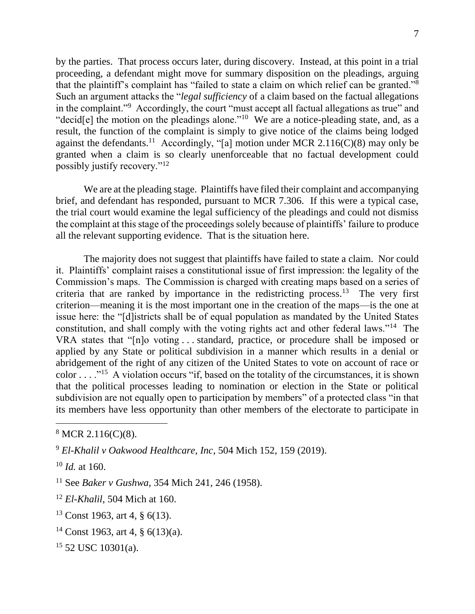by the parties. That process occurs later, during discovery. Instead, at this point in a trial proceeding, a defendant might move for summary disposition on the pleadings, arguing that the plaintiff's complaint has "failed to state a claim on which relief can be granted."<sup>8</sup> Such an argument attacks the "*legal sufficiency* of a claim based on the factual allegations in the complaint."<sup>9</sup> Accordingly, the court "must accept all factual allegations as true" and "decid $[e]$  the motion on the pleadings alone."<sup>10</sup> We are a notice-pleading state, and, as a result, the function of the complaint is simply to give notice of the claims being lodged against the defendants.<sup>11</sup> Accordingly, "[a] motion under MCR 2.116(C)(8) may only be granted when a claim is so clearly unenforceable that no factual development could possibly justify recovery."<sup>12</sup>

We are at the pleading stage. Plaintiffs have filed their complaint and accompanying brief, and defendant has responded, pursuant to MCR 7.306. If this were a typical case, the trial court would examine the legal sufficiency of the pleadings and could not dismiss the complaint at this stage of the proceedings solely because of plaintiffs' failure to produce all the relevant supporting evidence. That is the situation here.

The majority does not suggest that plaintiffs have failed to state a claim. Nor could it. Plaintiffs' complaint raises a constitutional issue of first impression: the legality of the Commission's maps. The Commission is charged with creating maps based on a series of criteria that are ranked by importance in the redistricting process.<sup>13</sup> The very first criterion—meaning it is the most important one in the creation of the maps—is the one at issue here: the "[d]istricts shall be of equal population as mandated by the United States constitution, and shall comply with the voting rights act and other federal laws."<sup>14</sup> The VRA states that "[n]o voting . . . standard, practice, or procedure shall be imposed or applied by any State or political subdivision in a manner which results in a denial or abridgement of the right of any citizen of the United States to vote on account of race or color . . . ."<sup>15</sup> A violation occurs "if, based on the totality of the circumstances, it is shown that the political processes leading to nomination or election in the State or political subdivision are not equally open to participation by members" of a protected class "in that its members have less opportunity than other members of the electorate to participate in

 $8$  MCR 2.116(C)(8).

<sup>9</sup> *El-Khalil v Oakwood Healthcare, Inc*, 504 Mich 152, 159 (2019).

<sup>10</sup> *Id.* at 160.

<sup>11</sup> See *Baker v Gushwa*, 354 Mich 241, 246 (1958).

<sup>12</sup> *El-Khalil*, 504 Mich at 160.

<sup>13</sup> Const 1963, art 4, § 6(13).

<sup>14</sup> Const 1963, art 4, § 6(13)(a).

 $15$  52 USC 10301(a).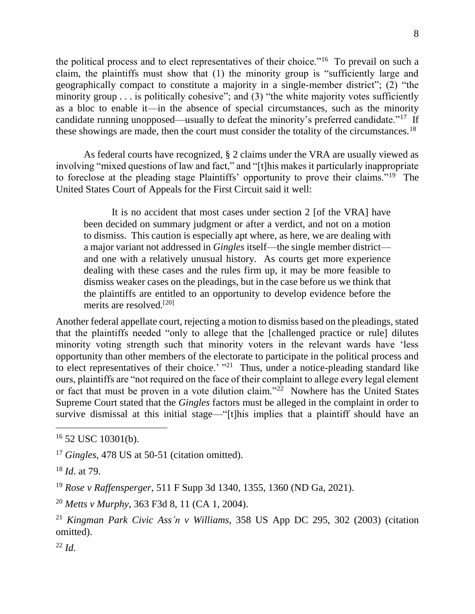the political process and to elect representatives of their choice."<sup>16</sup> To prevail on such a claim, the plaintiffs must show that (1) the minority group is "sufficiently large and geographically compact to constitute a majority in a single-member district"; (2) "the minority group . . . is politically cohesive"; and (3) "the white majority votes sufficiently as a bloc to enable it—in the absence of special circumstances, such as the minority candidate running unopposed—usually to defeat the minority's preferred candidate."<sup>17</sup> If these showings are made, then the court must consider the totality of the circumstances.<sup>18</sup>

As federal courts have recognized, § 2 claims under the VRA are usually viewed as involving "mixed questions of law and fact," and "[t]his makes it particularly inappropriate to foreclose at the pleading stage Plaintiffs' opportunity to prove their claims."<sup>19</sup> The United States Court of Appeals for the First Circuit said it well:

It is no accident that most cases under section 2 [of the VRA] have been decided on summary judgment or after a verdict, and not on a motion to dismiss. This caution is especially apt where, as here, we are dealing with a major variant not addressed in *Gingles* itself—the single member district and one with a relatively unusual history. As courts get more experience dealing with these cases and the rules firm up, it may be more feasible to dismiss weaker cases on the pleadings, but in the case before us we think that the plaintiffs are entitled to an opportunity to develop evidence before the merits are resolved.[20]

Another federal appellate court, rejecting a motion to dismiss based on the pleadings, stated that the plaintiffs needed "only to allege that the [challenged practice or rule] dilutes minority voting strength such that minority voters in the relevant wards have 'less opportunity than other members of the electorate to participate in the political process and to elect representatives of their choice.'  $"^{21}$  Thus, under a notice-pleading standard like ours, plaintiffs are "not required on the face of their complaint to allege every legal element or fact that must be proven in a vote dilution claim."<sup>22</sup> Nowhere has the United States Supreme Court stated that the *Gingles* factors must be alleged in the complaint in order to survive dismissal at this initial stage—"[t]his implies that a plaintiff should have an

 $\overline{a}$ 

<sup>22</sup> *Id*.

 $16$  52 USC 10301(b).

<sup>&</sup>lt;sup>17</sup> *Gingles*, 478 US at 50-51 (citation omitted).

<sup>18</sup> *Id*. at 79.

<sup>19</sup> *Rose v Raffensperger*, 511 F Supp 3d 1340, 1355, 1360 (ND Ga, 2021).

<sup>20</sup> *Metts v Murphy*, 363 F3d 8, 11 (CA 1, 2004).

<sup>21</sup> *Kingman Park Civic Ass'n v Williams*, 358 US App DC 295, 302 (2003) (citation omitted).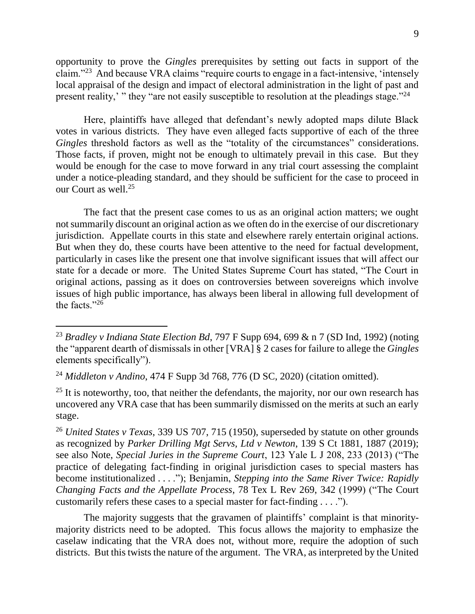opportunity to prove the *Gingles* prerequisites by setting out facts in support of the claim."<sup>23</sup> And because VRA claims "require courts to engage in a fact-intensive, 'intensely local appraisal of the design and impact of electoral administration in the light of past and present reality,' " they "are not easily susceptible to resolution at the pleadings stage."<sup>24</sup>

Here, plaintiffs have alleged that defendant's newly adopted maps dilute Black votes in various districts. They have even alleged facts supportive of each of the three *Gingles* threshold factors as well as the "totality of the circumstances" considerations. Those facts, if proven, might not be enough to ultimately prevail in this case. But they would be enough for the case to move forward in any trial court assessing the complaint under a notice-pleading standard, and they should be sufficient for the case to proceed in our Court as well.<sup>25</sup>

The fact that the present case comes to us as an original action matters; we ought not summarily discount an original action as we often do in the exercise of our discretionary jurisdiction. Appellate courts in this state and elsewhere rarely entertain original actions. But when they do, these courts have been attentive to the need for factual development, particularly in cases like the present one that involve significant issues that will affect our state for a decade or more. The United States Supreme Court has stated, "The Court in original actions, passing as it does on controversies between sovereigns which involve issues of high public importance, has always been liberal in allowing full development of the facts."<sup>26</sup>

 $25$  It is noteworthy, too, that neither the defendants, the majority, nor our own research has uncovered any VRA case that has been summarily dismissed on the merits at such an early stage.

<sup>26</sup> *United States v Texas*, 339 US 707, 715 (1950), superseded by statute on other grounds as recognized by *Parker Drilling Mgt Servs, Ltd v Newton*, 139 S Ct 1881, 1887 (2019); see also Note, *Special Juries in the Supreme Court*, 123 Yale L J 208, 233 (2013) ("The practice of delegating fact-finding in original jurisdiction cases to special masters has become institutionalized . . . ."); Benjamin, *Stepping into the Same River Twice: Rapidly Changing Facts and the Appellate Process*, 78 Tex L Rev 269, 342 (1999) ("The Court customarily refers these cases to a special master for fact-finding . . . .").

The majority suggests that the gravamen of plaintiffs' complaint is that minoritymajority districts need to be adopted. This focus allows the majority to emphasize the caselaw indicating that the VRA does not, without more, require the adoption of such districts. But this twists the nature of the argument. The VRA, as interpreted by the United

<sup>23</sup> *Bradley v Indiana State Election Bd*, 797 F Supp 694, 699 & n 7 (SD Ind, 1992) (noting the "apparent dearth of dismissals in other [VRA] § 2 cases for failure to allege the *Gingles* elements specifically").

<sup>24</sup> *Middleton v Andino*, 474 F Supp 3d 768, 776 (D SC, 2020) (citation omitted).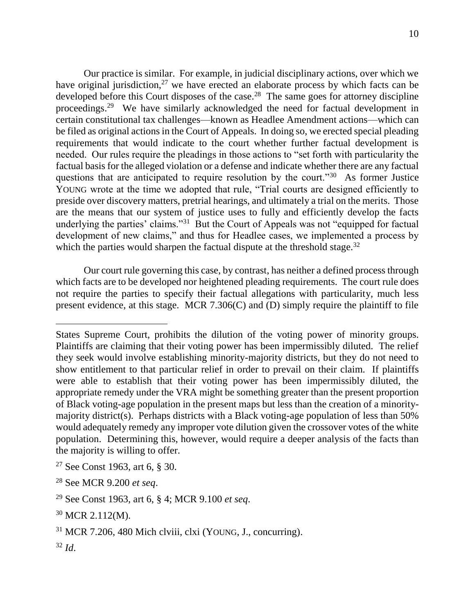Our practice is similar. For example, in judicial disciplinary actions, over which we have original jurisdiction, $27$  we have erected an elaborate process by which facts can be developed before this Court disposes of the case.<sup>28</sup> The same goes for attorney discipline proceedings.<sup>29</sup> We have similarly acknowledged the need for factual development in certain constitutional tax challenges—known as Headlee Amendment actions—which can be filed as original actions in the Court of Appeals. In doing so, we erected special pleading requirements that would indicate to the court whether further factual development is needed. Our rules require the pleadings in those actions to "set forth with particularity the factual basis for the alleged violation or a defense and indicate whether there are any factual questions that are anticipated to require resolution by the court."<sup>30</sup> As former Justice YOUNG wrote at the time we adopted that rule, "Trial courts are designed efficiently to preside over discovery matters, pretrial hearings, and ultimately a trial on the merits. Those are the means that our system of justice uses to fully and efficiently develop the facts underlying the parties' claims."<sup>31</sup> But the Court of Appeals was not "equipped for factual development of new claims," and thus for Headlee cases, we implemented a process by which the parties would sharpen the factual dispute at the threshold stage. $32$ 

Our court rule governing this case, by contrast, has neither a defined process through which facts are to be developed nor heightened pleading requirements. The court rule does not require the parties to specify their factual allegations with particularity, much less present evidence, at this stage. MCR 7.306(C) and (D) simply require the plaintiff to file

States Supreme Court, prohibits the dilution of the voting power of minority groups. Plaintiffs are claiming that their voting power has been impermissibly diluted. The relief they seek would involve establishing minority-majority districts, but they do not need to show entitlement to that particular relief in order to prevail on their claim. If plaintiffs were able to establish that their voting power has been impermissibly diluted, the appropriate remedy under the VRA might be something greater than the present proportion of Black voting-age population in the present maps but less than the creation of a minoritymajority district(s). Perhaps districts with a Black voting-age population of less than 50% would adequately remedy any improper vote dilution given the crossover votes of the white population. Determining this, however, would require a deeper analysis of the facts than the majority is willing to offer.

<sup>27</sup> See Const 1963, art 6, § 30.

<sup>28</sup> See MCR 9.200 *et seq*.

<sup>29</sup> See Const 1963, art 6, § 4; MCR 9.100 *et seq*.

<sup>30</sup> MCR 2.112(M).

<sup>31</sup> MCR 7.206, 480 Mich clviii, clxi (YOUNG, J., concurring).

<sup>32</sup> *Id*.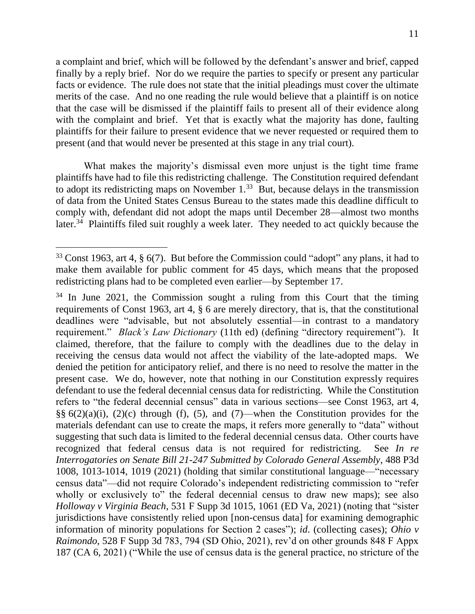a complaint and brief, which will be followed by the defendant's answer and brief, capped finally by a reply brief. Nor do we require the parties to specify or present any particular facts or evidence. The rule does not state that the initial pleadings must cover the ultimate merits of the case. And no one reading the rule would believe that a plaintiff is on notice that the case will be dismissed if the plaintiff fails to present all of their evidence along with the complaint and brief. Yet that is exactly what the majority has done, faulting plaintiffs for their failure to present evidence that we never requested or required them to present (and that would never be presented at this stage in any trial court).

What makes the majority's dismissal even more unjust is the tight time frame plaintiffs have had to file this redistricting challenge. The Constitution required defendant to adopt its redistricting maps on November  $1<sup>33</sup>$  But, because delays in the transmission of data from the United States Census Bureau to the states made this deadline difficult to comply with, defendant did not adopt the maps until December 28—almost two months later.<sup>34</sup> Plaintiffs filed suit roughly a week later. They needed to act quickly because the

<sup>33</sup> Const 1963, art 4, § 6(7). But before the Commission could "adopt" any plans, it had to make them available for public comment for 45 days, which means that the proposed redistricting plans had to be completed even earlier—by September 17.

 $34$  In June 2021, the Commission sought a ruling from this Court that the timing requirements of Const 1963, art 4, § 6 are merely directory, that is, that the constitutional deadlines were "advisable, but not absolutely essential—in contrast to a mandatory requirement." *Black's Law Dictionary* (11th ed) (defining "directory requirement"). It claimed, therefore, that the failure to comply with the deadlines due to the delay in receiving the census data would not affect the viability of the late-adopted maps. We denied the petition for anticipatory relief, and there is no need to resolve the matter in the present case. We do, however, note that nothing in our Constitution expressly requires defendant to use the federal decennial census data for redistricting. While the Constitution refers to "the federal decennial census" data in various sections—see Const 1963, art 4,  $\S\S 6(2)(a)(i)$ ,  $(2)(c)$  through (f), (5), and (7)—when the Constitution provides for the materials defendant can use to create the maps, it refers more generally to "data" without suggesting that such data is limited to the federal decennial census data. Other courts have recognized that federal census data is not required for redistricting. See *In re Interrogatories on Senate Bill 21-247 Submitted by Colorado General Assembly*, 488 P3d 1008, 1013-1014, 1019 (2021) (holding that similar constitutional language—"necessary census data"—did not require Colorado's independent redistricting commission to "refer wholly or exclusively to" the federal decennial census to draw new maps); see also *Holloway v Virginia Beach*, 531 F Supp 3d 1015, 1061 (ED Va, 2021) (noting that "sister jurisdictions have consistently relied upon [non-census data] for examining demographic information of minority populations for Section 2 cases"); *id*. (collecting cases); *Ohio v Raimondo*, 528 F Supp 3d 783, 794 (SD Ohio, 2021), rev'd on other grounds 848 F Appx 187 (CA 6, 2021) ("While the use of census data is the general practice, no stricture of the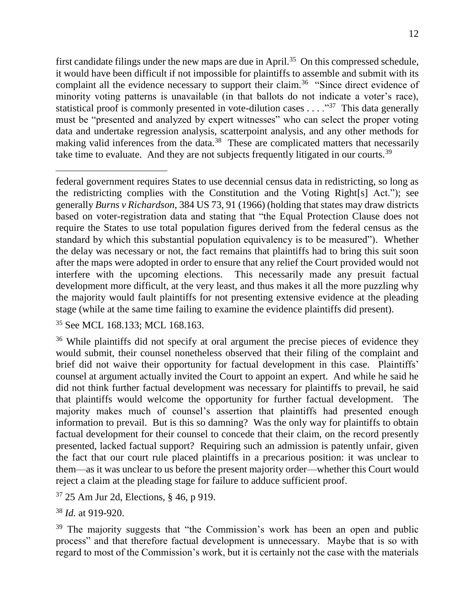first candidate filings under the new maps are due in April.<sup>35</sup> On this compressed schedule, it would have been difficult if not impossible for plaintiffs to assemble and submit with its complaint all the evidence necessary to support their claim.<sup>36</sup> "Since direct evidence of minority voting patterns is unavailable (in that ballots do not indicate a voter's race), statistical proof is commonly presented in vote-dilution cases  $\dots$ ."<sup>37</sup> This data generally must be "presented and analyzed by expert witnesses" who can select the proper voting data and undertake regression analysis, scatterpoint analysis, and any other methods for making valid inferences from the data.<sup>38</sup> These are complicated matters that necessarily take time to evaluate. And they are not subjects frequently litigated in our courts.<sup>39</sup>

<sup>35</sup> See MCL 168.133; MCL 168.163.

<sup>36</sup> While plaintiffs did not specify at oral argument the precise pieces of evidence they would submit, their counsel nonetheless observed that their filing of the complaint and brief did not waive their opportunity for factual development in this case. Plaintiffs' counsel at argument actually invited the Court to appoint an expert. And while he said he did not think further factual development was necessary for plaintiffs to prevail, he said that plaintiffs would welcome the opportunity for further factual development. The majority makes much of counsel's assertion that plaintiffs had presented enough information to prevail. But is this so damning? Was the only way for plaintiffs to obtain factual development for their counsel to concede that their claim, on the record presently presented, lacked factual support? Requiring such an admission is patently unfair, given the fact that our court rule placed plaintiffs in a precarious position: it was unclear to them—as it was unclear to us before the present majority order—whether this Court would reject a claim at the pleading stage for failure to adduce sufficient proof.

<sup>37</sup> 25 Am Jur 2d, Elections, § 46, p 919.

<sup>38</sup> *Id.* at 919-920.

 $\overline{a}$ 

<sup>39</sup> The majority suggests that "the Commission's work has been an open and public process" and that therefore factual development is unnecessary. Maybe that is so with regard to most of the Commission's work, but it is certainly not the case with the materials

federal government requires States to use decennial census data in redistricting, so long as the redistricting complies with the Constitution and the Voting Right[s] Act."); see generally *Burns v Richardson*, 384 US 73, 91 (1966) (holding that states may draw districts based on voter-registration data and stating that "the Equal Protection Clause does not require the States to use total population figures derived from the federal census as the standard by which this substantial population equivalency is to be measured"). Whether the delay was necessary or not, the fact remains that plaintiffs had to bring this suit soon after the maps were adopted in order to ensure that any relief the Court provided would not interfere with the upcoming elections. This necessarily made any presuit factual development more difficult, at the very least, and thus makes it all the more puzzling why the majority would fault plaintiffs for not presenting extensive evidence at the pleading stage (while at the same time failing to examine the evidence plaintiffs did present).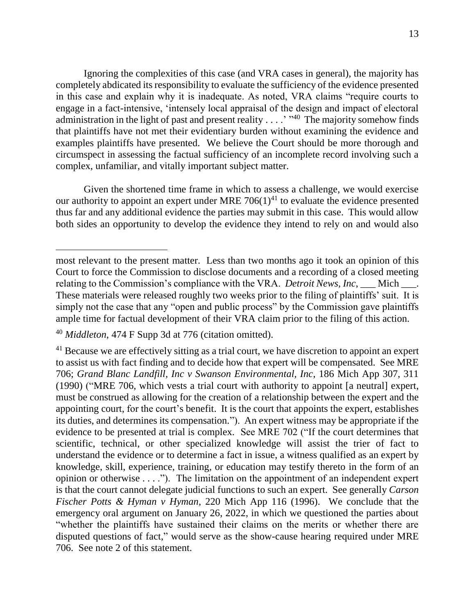Ignoring the complexities of this case (and VRA cases in general), the majority has completely abdicated its responsibility to evaluate the sufficiency of the evidence presented in this case and explain why it is inadequate. As noted, VRA claims "require courts to engage in a fact-intensive, 'intensely local appraisal of the design and impact of electoral administration in the light of past and present reality  $\dots$ . "<sup>40</sup> The majority somehow finds that plaintiffs have not met their evidentiary burden without examining the evidence and examples plaintiffs have presented. We believe the Court should be more thorough and circumspect in assessing the factual sufficiency of an incomplete record involving such a complex, unfamiliar, and vitally important subject matter.

Given the shortened time frame in which to assess a challenge, we would exercise our authority to appoint an expert under MRE  $706(1)^{41}$  to evaluate the evidence presented thus far and any additional evidence the parties may submit in this case. This would allow both sides an opportunity to develop the evidence they intend to rely on and would also

most relevant to the present matter. Less than two months ago it took an opinion of this Court to force the Commission to disclose documents and a recording of a closed meeting relating to the Commission's compliance with the VRA. *Detroit News, Inc*, \_\_\_ Mich \_\_\_. These materials were released roughly two weeks prior to the filing of plaintiffs' suit. It is simply not the case that any "open and public process" by the Commission gave plaintiffs ample time for factual development of their VRA claim prior to the filing of this action.

<sup>40</sup> *Middleton*, 474 F Supp 3d at 776 (citation omitted).

<sup>&</sup>lt;sup>41</sup> Because we are effectively sitting as a trial court, we have discretion to appoint an expert to assist us with fact finding and to decide how that expert will be compensated. See MRE 706; *Grand Blanc Landfill, Inc v Swanson Environmental, Inc*, 186 Mich App 307, 311 (1990) ("MRE 706, which vests a trial court with authority to appoint [a neutral] expert, must be construed as allowing for the creation of a relationship between the expert and the appointing court, for the court's benefit. It is the court that appoints the expert, establishes its duties, and determines its compensation."). An expert witness may be appropriate if the evidence to be presented at trial is complex. See MRE 702 ("If the court determines that scientific, technical, or other specialized knowledge will assist the trier of fact to understand the evidence or to determine a fact in issue, a witness qualified as an expert by knowledge, skill, experience, training, or education may testify thereto in the form of an opinion or otherwise . . . ."). The limitation on the appointment of an independent expert is that the court cannot delegate judicial functions to such an expert. See generally *Carson Fischer Potts & Hyman v Hyman*, 220 Mich App 116 (1996). We conclude that the emergency oral argument on January 26, 2022, in which we questioned the parties about "whether the plaintiffs have sustained their claims on the merits or whether there are disputed questions of fact," would serve as the show-cause hearing required under MRE 706. See note 2 of this statement.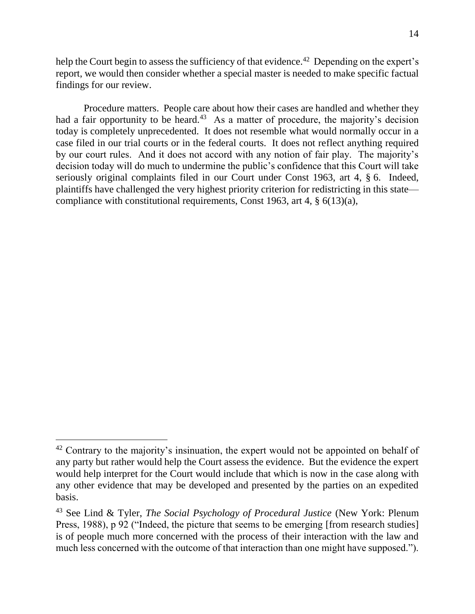help the Court begin to assess the sufficiency of that evidence.<sup>42</sup> Depending on the expert's report, we would then consider whether a special master is needed to make specific factual findings for our review.

Procedure matters. People care about how their cases are handled and whether they had a fair opportunity to be heard.<sup>43</sup> As a matter of procedure, the majority's decision today is completely unprecedented. It does not resemble what would normally occur in a case filed in our trial courts or in the federal courts. It does not reflect anything required by our court rules. And it does not accord with any notion of fair play. The majority's decision today will do much to undermine the public's confidence that this Court will take seriously original complaints filed in our Court under Const 1963, art 4, § 6. Indeed, plaintiffs have challenged the very highest priority criterion for redistricting in this state compliance with constitutional requirements, Const 1963, art 4, § 6(13)(a),

 $42$  Contrary to the majority's insinuation, the expert would not be appointed on behalf of any party but rather would help the Court assess the evidence. But the evidence the expert would help interpret for the Court would include that which is now in the case along with any other evidence that may be developed and presented by the parties on an expedited basis.

<sup>43</sup> See Lind & Tyler, *The Social Psychology of Procedural Justice* (New York: Plenum Press, 1988), p 92 ("Indeed, the picture that seems to be emerging [from research studies] is of people much more concerned with the process of their interaction with the law and much less concerned with the outcome of that interaction than one might have supposed.").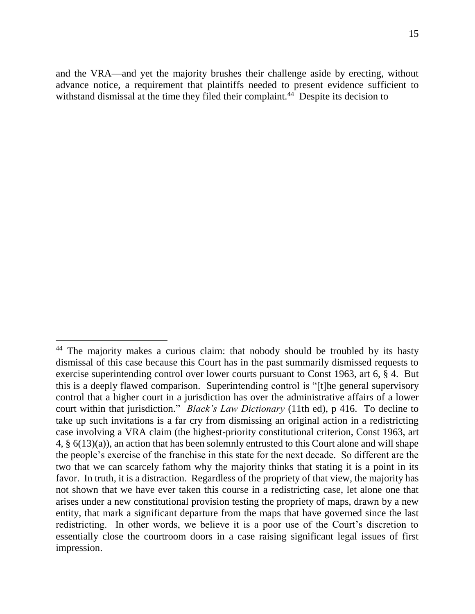and the VRA—and yet the majority brushes their challenge aside by erecting, without advance notice, a requirement that plaintiffs needed to present evidence sufficient to withstand dismissal at the time they filed their complaint.<sup>44</sup> Despite its decision to

<sup>&</sup>lt;sup>44</sup> The majority makes a curious claim: that nobody should be troubled by its hasty dismissal of this case because this Court has in the past summarily dismissed requests to exercise superintending control over lower courts pursuant to Const 1963, art 6, § 4. But this is a deeply flawed comparison. Superintending control is "[t]he general supervisory control that a higher court in a jurisdiction has over the administrative affairs of a lower court within that jurisdiction." *Black's Law Dictionary* (11th ed), p 416. To decline to take up such invitations is a far cry from dismissing an original action in a redistricting case involving a VRA claim (the highest-priority constitutional criterion, Const 1963, art 4, § 6(13)(a)), an action that has been solemnly entrusted to this Court alone and will shape the people's exercise of the franchise in this state for the next decade. So different are the two that we can scarcely fathom why the majority thinks that stating it is a point in its favor. In truth, it is a distraction. Regardless of the propriety of that view, the majority has not shown that we have ever taken this course in a redistricting case, let alone one that arises under a new constitutional provision testing the propriety of maps, drawn by a new entity, that mark a significant departure from the maps that have governed since the last redistricting. In other words, we believe it is a poor use of the Court's discretion to essentially close the courtroom doors in a case raising significant legal issues of first impression.